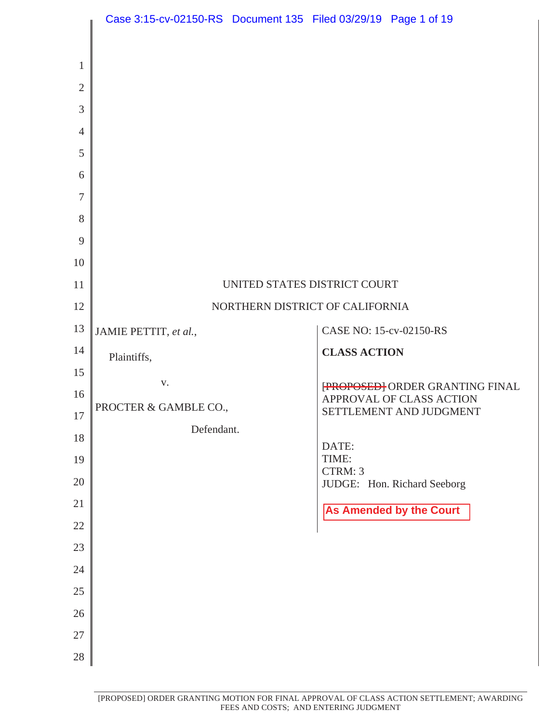|                                                                                | Case 3:15-cv-02150-RS Document 135 Filed 03/29/19 Page 1 of 19 |  |                         |                                                     |
|--------------------------------------------------------------------------------|----------------------------------------------------------------|--|-------------------------|-----------------------------------------------------|
| $\mathbf{1}$<br>$\mathfrak{2}$<br>3<br>$\overline{4}$<br>5<br>6<br>7<br>8<br>9 |                                                                |  |                         |                                                     |
| 10                                                                             |                                                                |  |                         |                                                     |
| 11                                                                             | UNITED STATES DISTRICT COURT                                   |  |                         |                                                     |
| 12                                                                             | NORTHERN DISTRICT OF CALIFORNIA                                |  |                         |                                                     |
| 13                                                                             | JAMIE PETTIT, et al.,                                          |  | CASE NO: 15-cv-02150-RS |                                                     |
| 14                                                                             | Plaintiffs,                                                    |  | <b>CLASS ACTION</b>     |                                                     |
| 15                                                                             | V.                                                             |  |                         | <b>FROPOSED</b> ORDER GRANTING FINAL                |
| 16<br>$17\,$                                                                   | PROCTER & GAMBLE CO.,                                          |  |                         | APPROVAL OF CLASS ACTION<br>SETTLEMENT AND JUDGMENT |
| 18                                                                             | Defendant.                                                     |  |                         |                                                     |
| 19                                                                             |                                                                |  | DATE:<br>TIME:          |                                                     |
| $20\,$                                                                         |                                                                |  | CTRM: 3                 | JUDGE: Hon. Richard Seeborg                         |
| 21                                                                             |                                                                |  |                         | <b>As Amended by the Court</b>                      |
| 22                                                                             |                                                                |  |                         |                                                     |
| 23                                                                             |                                                                |  |                         |                                                     |
| 24<br>25                                                                       |                                                                |  |                         |                                                     |
|                                                                                |                                                                |  |                         |                                                     |
|                                                                                |                                                                |  |                         |                                                     |
| 26<br>$27\,$                                                                   |                                                                |  |                         |                                                     |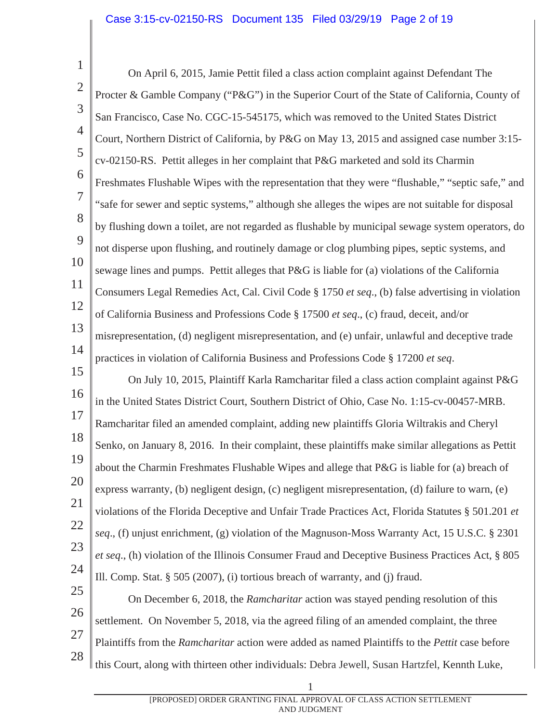1 2 3 4 5 6 7 8 9 10 11 12 13 14 15 16 17 18 19 20 21 22 23 24 25 26 27 28 On April 6, 2015, Jamie Pettit filed a class action complaint against Defendant The Procter & Gamble Company ("P&G") in the Superior Court of the State of California, County of San Francisco, Case No. CGC-15-545175, which was removed to the United States District Court, Northern District of California, by P&G on May 13, 2015 and assigned case number 3:15 cv-02150-RS. Pettit alleges in her complaint that P&G marketed and sold its Charmin Freshmates Flushable Wipes with the representation that they were "flushable," "septic safe," and "safe for sewer and septic systems," although she alleges the wipes are not suitable for disposal by flushing down a toilet, are not regarded as flushable by municipal sewage system operators, do not disperse upon flushing, and routinely damage or clog plumbing pipes, septic systems, and sewage lines and pumps. Pettit alleges that P&G is liable for (a) violations of the California Consumers Legal Remedies Act, Cal. Civil Code § 1750 *et seq*., (b) false advertising in violation of California Business and Professions Code § 17500 *et seq*., (c) fraud, deceit, and/or misrepresentation, (d) negligent misrepresentation, and (e) unfair, unlawful and deceptive trade practices in violation of California Business and Professions Code § 17200 *et seq*. On July 10, 2015, Plaintiff Karla Ramcharitar filed a class action complaint against P&G in the United States District Court, Southern District of Ohio, Case No. 1:15-cv-00457-MRB. Ramcharitar filed an amended complaint, adding new plaintiffs Gloria Wiltrakis and Cheryl Senko, on January 8, 2016. In their complaint, these plaintiffs make similar allegations as Pettit about the Charmin Freshmates Flushable Wipes and allege that P&G is liable for (a) breach of express warranty, (b) negligent design, (c) negligent misrepresentation, (d) failure to warn, (e) violations of the Florida Deceptive and Unfair Trade Practices Act, Florida Statutes § 501.201 *et seq*., (f) unjust enrichment, (g) violation of the Magnuson-Moss Warranty Act, 15 U.S.C. § 2301 *et seq*., (h) violation of the Illinois Consumer Fraud and Deceptive Business Practices Act, § 805 Ill. Comp. Stat. § 505 (2007), (i) tortious breach of warranty, and (j) fraud. On December 6, 2018, the *Ramcharitar* action was stayed pending resolution of this settlement. On November 5, 2018, via the agreed filing of an amended complaint, the three Plaintiffs from the *Ramcharitar* action were added as named Plaintiffs to the *Pettit* case before

this Court, along with thirteen other individuals: Debra Jewell, Susan Hartzfel, Kennth Luke,

[PROPOSED] ORDER GRANTING FINAL APPROVAL OF CLASS ACTION SETTLEMENT AND JUDGMENT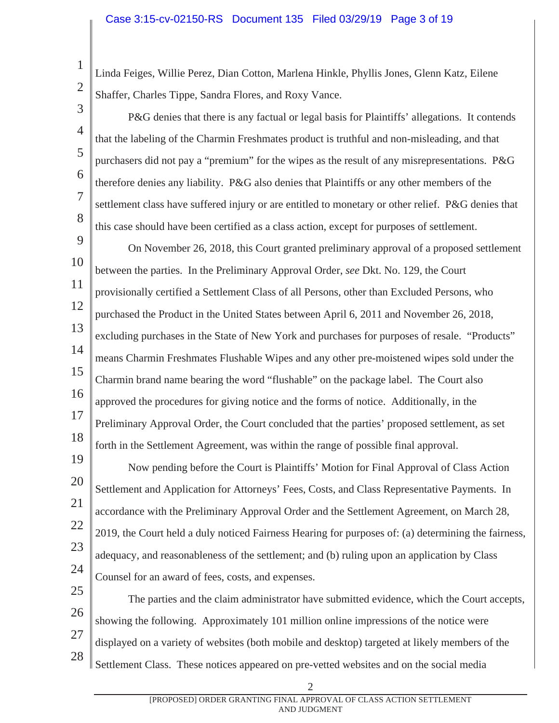Linda Feiges, Willie Perez, Dian Cotton, Marlena Hinkle, Phyllis Jones, Glenn Katz, Eilene Shaffer, Charles Tippe, Sandra Flores, and Roxy Vance.

3

4

5

6

7

8

2

1

P&G denies that there is any factual or legal basis for Plaintiffs' allegations. It contends that the labeling of the Charmin Freshmates product is truthful and non-misleading, and that purchasers did not pay a "premium" for the wipes as the result of any misrepresentations. P&G therefore denies any liability. P&G also denies that Plaintiffs or any other members of the settlement class have suffered injury or are entitled to monetary or other relief. P&G denies that this case should have been certified as a class action, except for purposes of settlement.

9 10 11 12 13 14 15 16 17 18 On November 26, 2018, this Court granted preliminary approval of a proposed settlement between the parties. In the Preliminary Approval Order, *see* Dkt. No. 129, the Court provisionally certified a Settlement Class of all Persons, other than Excluded Persons, who purchased the Product in the United States between April 6, 2011 and November 26, 2018, excluding purchases in the State of New York and purchases for purposes of resale. "Products" means Charmin Freshmates Flushable Wipes and any other pre-moistened wipes sold under the Charmin brand name bearing the word "flushable" on the package label. The Court also approved the procedures for giving notice and the forms of notice. Additionally, in the Preliminary Approval Order, the Court concluded that the parties' proposed settlement, as set forth in the Settlement Agreement, was within the range of possible final approval.

19 20 21 22 23 24 Now pending before the Court is Plaintiffs' Motion for Final Approval of Class Action Settlement and Application for Attorneys' Fees, Costs, and Class Representative Payments. In accordance with the Preliminary Approval Order and the Settlement Agreement, on March 28, 2019, the Court held a duly noticed Fairness Hearing for purposes of: (a) determining the fairness, adequacy, and reasonableness of the settlement; and (b) ruling upon an application by Class Counsel for an award of fees, costs, and expenses.

25 26 27 28 The parties and the claim administrator have submitted evidence, which the Court accepts, showing the following. Approximately 101 million online impressions of the notice were displayed on a variety of websites (both mobile and desktop) targeted at likely members of the Settlement Class. These notices appeared on pre-vetted websites and on the social media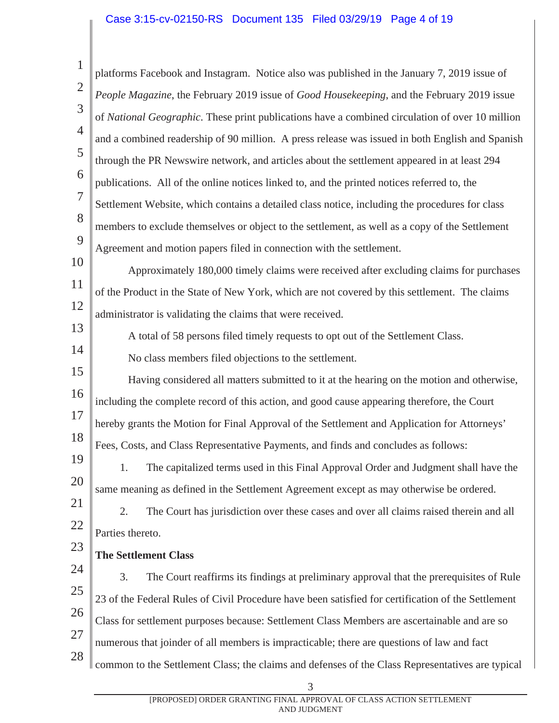#### Case 3:15-cv-02150-RS Document 135 Filed 03/29/19 Page 4 of 19

1 2 3 4 5 6 7 8 9 10 11 12 13 14 15 16 17 18 19 20 21 22 23 24 25 26 27 28 platforms Facebook and Instagram. Notice also was published in the January 7, 2019 issue of *People Magazine*, the February 2019 issue of *Good Housekeeping*, and the February 2019 issue of *National Geographic*. These print publications have a combined circulation of over 10 million and a combined readership of 90 million. A press release was issued in both English and Spanish through the PR Newswire network, and articles about the settlement appeared in at least 294 publications. All of the online notices linked to, and the printed notices referred to, the Settlement Website, which contains a detailed class notice, including the procedures for class members to exclude themselves or object to the settlement, as well as a copy of the Settlement Agreement and motion papers filed in connection with the settlement. Approximately 180,000 timely claims were received after excluding claims for purchases of the Product in the State of New York, which are not covered by this settlement. The claims administrator is validating the claims that were received. A total of 58 persons filed timely requests to opt out of the Settlement Class. No class members filed objections to the settlement. Having considered all matters submitted to it at the hearing on the motion and otherwise, including the complete record of this action, and good cause appearing therefore, the Court hereby grants the Motion for Final Approval of the Settlement and Application for Attorneys' Fees, Costs, and Class Representative Payments, and finds and concludes as follows: 1. The capitalized terms used in this Final Approval Order and Judgment shall have the same meaning as defined in the Settlement Agreement except as may otherwise be ordered. 2. The Court has jurisdiction over these cases and over all claims raised therein and all Parties thereto. **The Settlement Class**  3. The Court reaffirms its findings at preliminary approval that the prerequisites of Rule 23 of the Federal Rules of Civil Procedure have been satisfied for certification of the Settlement Class for settlement purposes because: Settlement Class Members are ascertainable and are so numerous that joinder of all members is impracticable; there are questions of law and fact common to the Settlement Class; the claims and defenses of the Class Representatives are typical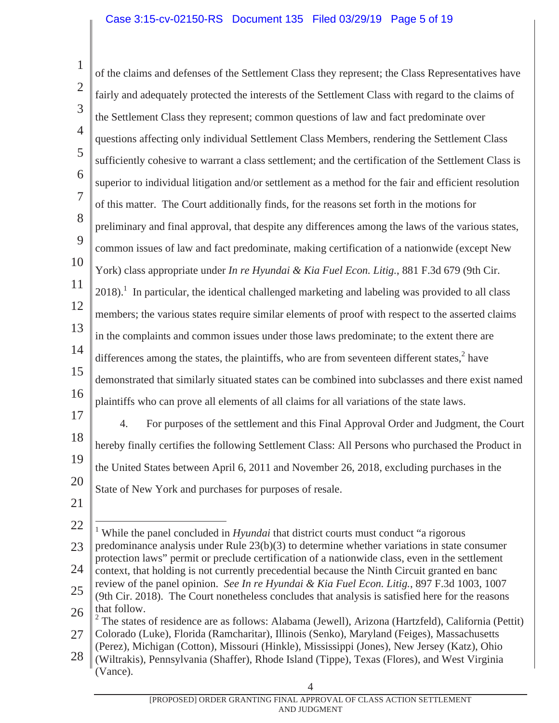1 2 3 4 5 6 7 8 9 10 11 12 13 14 15 16 17 18 19 20 21 22 23 24 25 26 27 of the claims and defenses of the Settlement Class they represent; the Class Representatives have fairly and adequately protected the interests of the Settlement Class with regard to the claims of the Settlement Class they represent; common questions of law and fact predominate over questions affecting only individual Settlement Class Members, rendering the Settlement Class sufficiently cohesive to warrant a class settlement; and the certification of the Settlement Class is superior to individual litigation and/or settlement as a method for the fair and efficient resolution of this matter. The Court additionally finds, for the reasons set forth in the motions for preliminary and final approval, that despite any differences among the laws of the various states, common issues of law and fact predominate, making certification of a nationwide (except New York) class appropriate under *In re Hyundai & Kia Fuel Econ. Litig.*, 881 F.3d 679 (9th Cir.  $2018$ ).<sup>1</sup> In particular, the identical challenged marketing and labeling was provided to all class members; the various states require similar elements of proof with respect to the asserted claims in the complaints and common issues under those laws predominate; to the extent there are differences among the states, the plaintiffs, who are from seventeen different states, $2$  have demonstrated that similarly situated states can be combined into subclasses and there exist named plaintiffs who can prove all elements of all claims for all variations of the state laws. 4. For purposes of the settlement and this Final Approval Order and Judgment, the Court hereby finally certifies the following Settlement Class: All Persons who purchased the Product in the United States between April 6, 2011 and November 26, 2018, excluding purchases in the State of New York and purchases for purposes of resale. <sup>1</sup> While the panel concluded in *Hyundai* that district courts must conduct "a rigorous" predominance analysis under Rule 23(b)(3) to determine whether variations in state consumer protection laws" permit or preclude certification of a nationwide class, even in the settlement context, that holding is not currently precedential because the Ninth Circuit granted en banc review of the panel opinion. *See In re Hyundai & Kia Fuel Econ. Litig.*, 897 F.3d 1003, 1007 (9th Cir. 2018). The Court nonetheless concludes that analysis is satisfied here for the reasons that follow. <sup>2</sup> The states of residence are as follows: Alabama (Jewell), Arizona (Hartzfeld), California (Pettit) Colorado (Luke), Florida (Ramcharitar), Illinois (Senko), Maryland (Feiges), Massachusetts

28 (Perez), Michigan (Cotton), Missouri (Hinkle), Mississippi (Jones), New Jersey (Katz), Ohio (Wiltrakis), Pennsylvania (Shaffer), Rhode Island (Tippe), Texas (Flores), and West Virginia (Vance).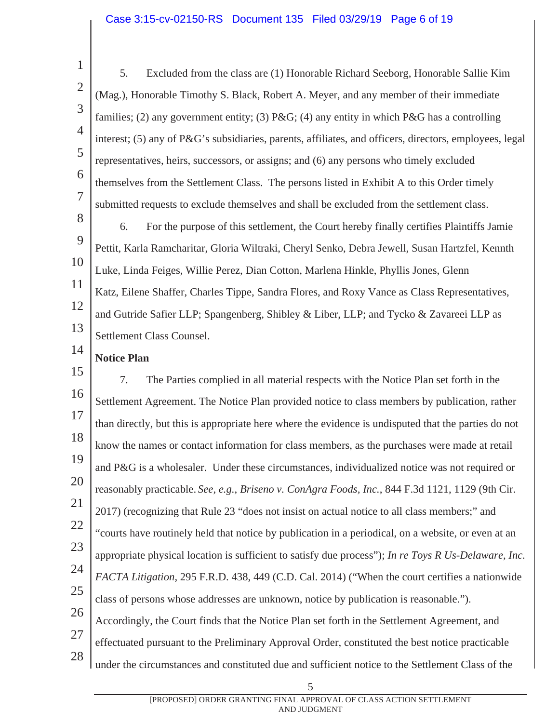#### Case 3:15-cv-02150-RS Document 135 Filed 03/29/19 Page 6 of 19

2 3

4

5

6

7

1

5. Excluded from the class are (1) Honorable Richard Seeborg, Honorable Sallie Kim (Mag.), Honorable Timothy S. Black, Robert A. Meyer, and any member of their immediate families; (2) any government entity; (3)  $P\&G$ ; (4) any entity in which P&G has a controlling interest; (5) any of P&G's subsidiaries, parents, affiliates, and officers, directors, employees, legal representatives, heirs, successors, or assigns; and (6) any persons who timely excluded themselves from the Settlement Class. The persons listed in Exhibit A to this Order timely submitted requests to exclude themselves and shall be excluded from the settlement class.

8 9 10 11 12 13 6. For the purpose of this settlement, the Court hereby finally certifies Plaintiffs Jamie Pettit, Karla Ramcharitar, Gloria Wiltraki, Cheryl Senko, Debra Jewell, Susan Hartzfel, Kennth Luke, Linda Feiges, Willie Perez, Dian Cotton, Marlena Hinkle, Phyllis Jones, Glenn Katz, Eilene Shaffer, Charles Tippe, Sandra Flores, and Roxy Vance as Class Representatives, and Gutride Safier LLP; Spangenberg, Shibley & Liber, LLP; and Tycko & Zavareei LLP as Settlement Class Counsel.

14 **Notice Plan** 

15 16 17 18 19 20 21 22 23 24 25 26 27 28 7. The Parties complied in all material respects with the Notice Plan set forth in the Settlement Agreement. The Notice Plan provided notice to class members by publication, rather than directly, but this is appropriate here where the evidence is undisputed that the parties do not know the names or contact information for class members, as the purchases were made at retail and P&G is a wholesaler. Under these circumstances, individualized notice was not required or reasonably practicable. *See, e.g.*, *Briseno v. ConAgra Foods, Inc.*, 844 F.3d 1121, 1129 (9th Cir. 2017) (recognizing that Rule 23 "does not insist on actual notice to all class members;" and "courts have routinely held that notice by publication in a periodical, on a website, or even at an appropriate physical location is sufficient to satisfy due process"); *In re Toys R Us-Delaware, Inc. FACTA Litigation*, 295 F.R.D. 438, 449 (C.D. Cal. 2014) ("When the court certifies a nationwide class of persons whose addresses are unknown, notice by publication is reasonable."). Accordingly, the Court finds that the Notice Plan set forth in the Settlement Agreement, and effectuated pursuant to the Preliminary Approval Order, constituted the best notice practicable under the circumstances and constituted due and sufficient notice to the Settlement Class of the

> [PROPOSED] ORDER GRANTING FINAL APPROVAL OF CLASS ACTION SETTLEMENT AND JUDGMENT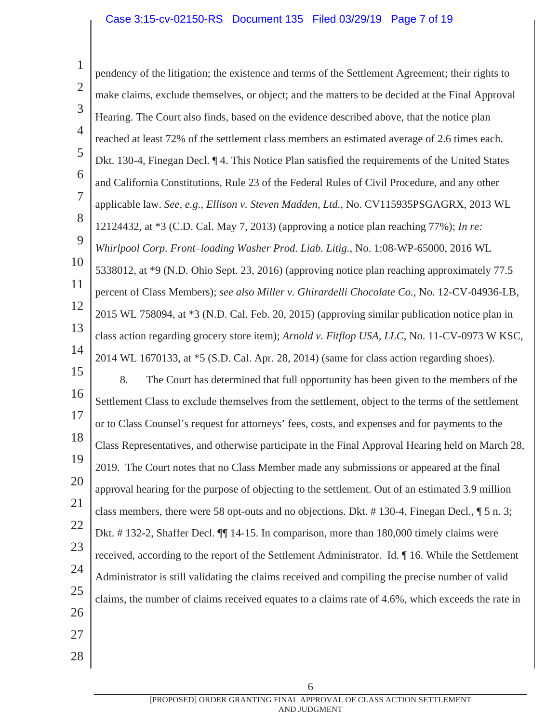#### Case 3:15-cv-02150-RS Document 135 Filed 03/29/19 Page 7 of 19

1 2 3 4 5 6 7 8 9 10 11 12 13 14 15 16 17 18 19 20 21 22 23 24 25 26 27 28 pendency of the litigation; the existence and terms of the Settlement Agreement; their rights to make claims, exclude themselves, or object; and the matters to be decided at the Final Approval Hearing. The Court also finds, based on the evidence described above, that the notice plan reached at least 72% of the settlement class members an estimated average of 2.6 times each. Dkt. 130-4, Finegan Decl. ¶ 4. This Notice Plan satisfied the requirements of the United States and California Constitutions, Rule 23 of the Federal Rules of Civil Procedure, and any other applicable law. *See, e.g., Ellison v. Steven Madden, Ltd.*, No. CV115935PSGAGRX, 2013 WL 12124432, at \*3 (C.D. Cal. May 7, 2013) (approving a notice plan reaching 77%); *In re: Whirlpool Corp. Front–loading Washer Prod. Liab. Litig.*, No. 1:08-WP-65000, 2016 WL 5338012, at \*9 (N.D. Ohio Sept. 23, 2016) (approving notice plan reaching approximately 77.5 percent of Class Members); *see also Miller v. Ghirardelli Chocolate Co.*, No. 12-CV-04936-LB, 2015 WL 758094, at \*3 (N.D. Cal. Feb. 20, 2015) (approving similar publication notice plan in class action regarding grocery store item); *Arnold v. Fitflop USA, LLC*, No. 11-CV-0973 W KSC, 2014 WL 1670133, at \*5 (S.D. Cal. Apr. 28, 2014) (same for class action regarding shoes). 8. The Court has determined that full opportunity has been given to the members of the Settlement Class to exclude themselves from the settlement, object to the terms of the settlement or to Class Counsel's request for attorneys' fees, costs, and expenses and for payments to the Class Representatives, and otherwise participate in the Final Approval Hearing held on March 28, 2019. The Court notes that no Class Member made any submissions or appeared at the final approval hearing for the purpose of objecting to the settlement. Out of an estimated 3.9 million class members, there were 58 opt-outs and no objections. Dkt. # 130-4, Finegan Decl., ¶ 5 n. 3; Dkt. # 132-2, Shaffer Decl. ¶¶ 14-15. In comparison, more than 180,000 timely claims were received, according to the report of the Settlement Administrator. Id. ¶ 16. While the Settlement Administrator is still validating the claims received and compiling the precise number of valid claims, the number of claims received equates to a claims rate of 4.6%, which exceeds the rate in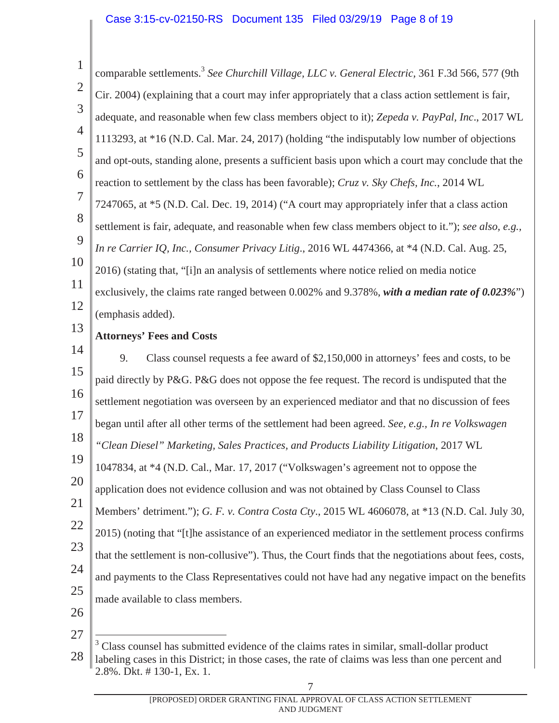#### Case 3:15-cv-02150-RS Document 135 Filed 03/29/19 Page 8 of 19

1 2 3 4 5 6 7 8 9 10 11 12 13 14 15 16 17 18 19 20 21 22 23 24 25 26 comparable settlements.3 *See Churchill Village, LLC v. General Electric,* 361 F.3d 566, 577 (9th Cir. 2004) (explaining that a court may infer appropriately that a class action settlement is fair, adequate, and reasonable when few class members object to it); *Zepeda v. PayPal, Inc*., 2017 WL 1113293, at \*16 (N.D. Cal. Mar. 24, 2017) (holding "the indisputably low number of objections and opt-outs, standing alone, presents a sufficient basis upon which a court may conclude that the reaction to settlement by the class has been favorable); *Cruz v. Sky Chefs, Inc.*, 2014 WL 7247065, at \*5 (N.D. Cal. Dec. 19, 2014) ("A court may appropriately infer that a class action settlement is fair, adequate, and reasonable when few class members object to it."); *see also, e.g., In re Carrier IQ, Inc., Consumer Privacy Litig*., 2016 WL 4474366, at \*4 (N.D. Cal. Aug. 25, 2016) (stating that, "[i]n an analysis of settlements where notice relied on media notice exclusively, the claims rate ranged between 0.002% and 9.378%, *with a median rate of 0.023%*") (emphasis added). **Attorneys' Fees and Costs**  9. Class counsel requests a fee award of \$2,150,000 in attorneys' fees and costs, to be paid directly by P&G. P&G does not oppose the fee request. The record is undisputed that the settlement negotiation was overseen by an experienced mediator and that no discussion of fees began until after all other terms of the settlement had been agreed. *See, e.g., In re Volkswagen "Clean Diesel" Marketing, Sales Practices, and Products Liability Litigation*, 2017 WL 1047834, at \*4 (N.D. Cal., Mar. 17, 2017 ("Volkswagen's agreement not to oppose the application does not evidence collusion and was not obtained by Class Counsel to Class Members' detriment."); *G. F. v. Contra Costa Cty*., 2015 WL 4606078, at \*13 (N.D. Cal. July 30, 2015) (noting that "[t]he assistance of an experienced mediator in the settlement process confirms that the settlement is non-collusive"). Thus, the Court finds that the negotiations about fees, costs, and payments to the Class Representatives could not have had any negative impact on the benefits made available to class members.

<sup>28</sup>   $\overline{a}$ <sup>3</sup> Class counsel has submitted evidence of the claims rates in similar, small-dollar product labeling cases in this District; in those cases, the rate of claims was less than one percent and 2.8%. Dkt. # 130-1, Ex. 1.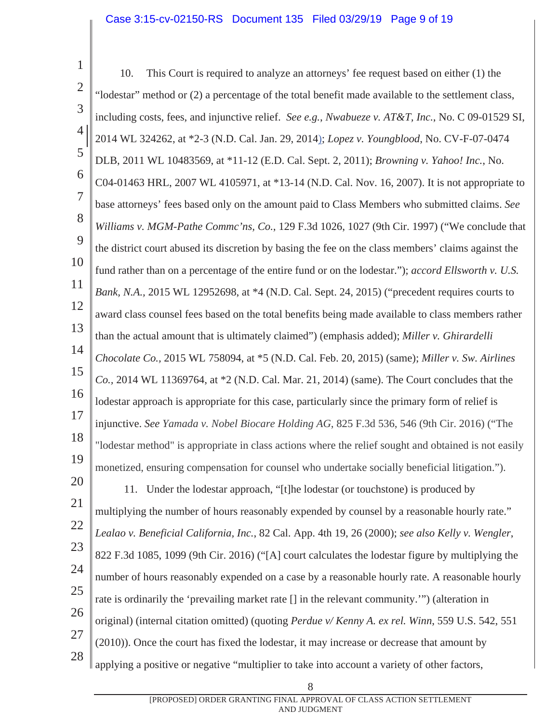1 2 3 4 5 6 7 8 9 10 11 12 13 14 15 16 17 18 19 20 21 22 23 24 25 26 27 28 10. This Court is required to analyze an attorneys' fee request based on either (1) the "lodestar" method or (2) a percentage of the total benefit made available to the settlement class, including costs, fees, and injunctive relief. *See e.g.*, *Nwabueze v. AT&T, Inc.*, No. C 09-01529 SI, 2014 WL 324262, at \*2-3 (N.D. Cal. Jan. 29, 2014); *Lopez v. Youngblood*, No. CV-F-07-0474 DLB, 2011 WL 10483569, at \*11-12 (E.D. Cal. Sept. 2, 2011); *Browning v. Yahoo! Inc.*, No. C04-01463 HRL, 2007 WL 4105971, at \*13-14 (N.D. Cal. Nov. 16, 2007). It is not appropriate to base attorneys' fees based only on the amount paid to Class Members who submitted claims. *See Williams v. MGM-Pathe Commc'ns, Co.*, 129 F.3d 1026, 1027 (9th Cir. 1997) ("We conclude that the district court abused its discretion by basing the fee on the class members' claims against the fund rather than on a percentage of the entire fund or on the lodestar."); *accord Ellsworth v. U.S. Bank, N.A.,* 2015 WL 12952698, at \*4 (N.D. Cal. Sept. 24, 2015) ("precedent requires courts to award class counsel fees based on the total benefits being made available to class members rather than the actual amount that is ultimately claimed") (emphasis added); *Miller v. Ghirardelli Chocolate Co.,* 2015 WL 758094, at \*5 (N.D. Cal. Feb. 20, 2015) (same); *Miller v. Sw. Airlines Co.,* 2014 WL 11369764, at \*2 (N.D. Cal. Mar. 21, 2014) (same). The Court concludes that the lodestar approach is appropriate for this case, particularly since the primary form of relief is injunctive. *See Yamada v. Nobel Biocare Holding AG*, 825 F.3d 536, 546 (9th Cir. 2016) ("The "lodestar method" is appropriate in class actions where the relief sought and obtained is not easily monetized, ensuring compensation for counsel who undertake socially beneficial litigation."). 11. Under the lodestar approach, "[t]he lodestar (or touchstone) is produced by multiplying the number of hours reasonably expended by counsel by a reasonable hourly rate." *Lealao v. Beneficial California, Inc.*, 82 Cal. App. 4th 19, 26 (2000); *see also Kelly v. Wengler*, 822 F.3d 1085, 1099 (9th Cir. 2016) ("[A] court calculates the lodestar figure by multiplying the number of hours reasonably expended on a case by a reasonable hourly rate. A reasonable hourly rate is ordinarily the 'prevailing market rate [] in the relevant community.'") (alteration in original) (internal citation omitted) (quoting *Perdue v/ Kenny A. ex rel. Winn*, 559 U.S. 542, 551 (2010)). Once the court has fixed the lodestar, it may increase or decrease that amount by

applying a positive or negative "multiplier to take into account a variety of other factors,

[PROPOSED] ORDER GRANTING FINAL APPROVAL OF CLASS ACTION SETTLEMENT AND JUDGMENT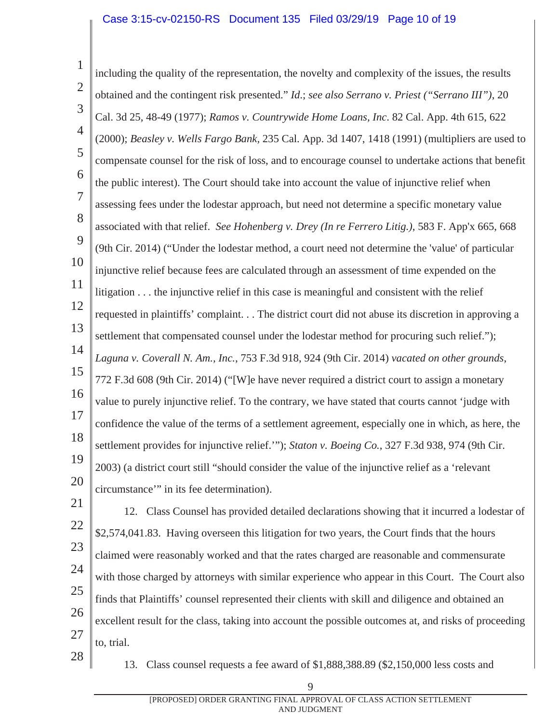- 1 2 3 4 5 6 7 8 9 10 11 12 13 14 15 16 17 18 19 20 including the quality of the representation, the novelty and complexity of the issues, the results obtained and the contingent risk presented." *Id*.; *see also Serrano v. Priest ("Serrano III")*, 20 Cal. 3d 25, 48-49 (1977); *Ramos v. Countrywide Home Loans, Inc*. 82 Cal. App. 4th 615, 622 (2000); *Beasley v. Wells Fargo Bank,* 235 Cal. App. 3d 1407, 1418 (1991) (multipliers are used to compensate counsel for the risk of loss, and to encourage counsel to undertake actions that benefit the public interest). The Court should take into account the value of injunctive relief when assessing fees under the lodestar approach, but need not determine a specific monetary value associated with that relief. *See Hohenberg v. Drey (In re Ferrero Litig.)*, 583 F. App'x 665, 668 (9th Cir. 2014) ("Under the lodestar method, a court need not determine the 'value' of particular injunctive relief because fees are calculated through an assessment of time expended on the litigation . . . the injunctive relief in this case is meaningful and consistent with the relief requested in plaintiffs' complaint. . . The district court did not abuse its discretion in approving a settlement that compensated counsel under the lodestar method for procuring such relief."); *Laguna v. Coverall N. Am., Inc.*, 753 F.3d 918, 924 (9th Cir. 2014) *vacated on other grounds*, 772 F.3d 608 (9th Cir. 2014) ("[W]e have never required a district court to assign a monetary value to purely injunctive relief. To the contrary, we have stated that courts cannot 'judge with confidence the value of the terms of a settlement agreement, especially one in which, as here, the settlement provides for injunctive relief.'"); *Staton v. Boeing Co.*, 327 F.3d 938, 974 (9th Cir. 2003) (a district court still "should consider the value of the injunctive relief as a 'relevant circumstance'" in its fee determination).
- 21

28

22 23 24 25 26 27 12. Class Counsel has provided detailed declarations showing that it incurred a lodestar of \$2,574,041.83. Having overseen this litigation for two years, the Court finds that the hours claimed were reasonably worked and that the rates charged are reasonable and commensurate with those charged by attorneys with similar experience who appear in this Court. The Court also finds that Plaintiffs' counsel represented their clients with skill and diligence and obtained an excellent result for the class, taking into account the possible outcomes at, and risks of proceeding to, trial.

13. Class counsel requests a fee award of \$1,888,388.89 (\$2,150,000 less costs and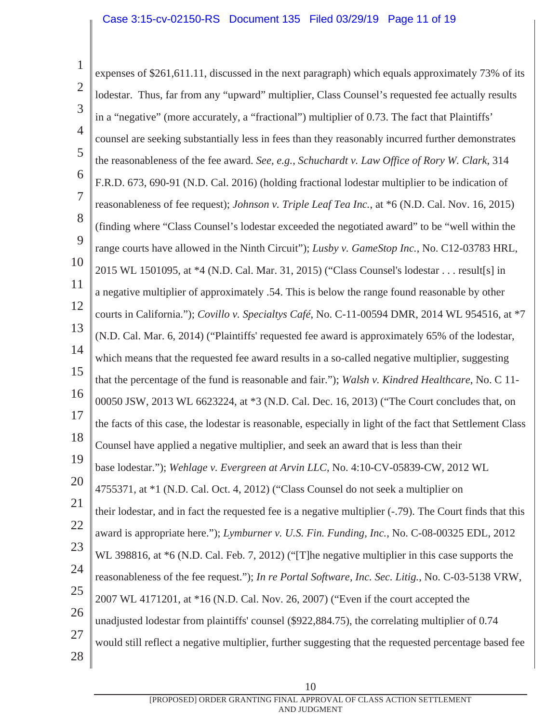1 2 3 4 5 6 7 8 9 10 11 12 13 14 15 16 17 18 19 20 21 22 23 24 25 26 27 28 expenses of \$261,611.11, discussed in the next paragraph) which equals approximately 73% of its lodestar. Thus, far from any "upward" multiplier, Class Counsel's requested fee actually results in a "negative" (more accurately, a "fractional") multiplier of 0.73. The fact that Plaintiffs' counsel are seeking substantially less in fees than they reasonably incurred further demonstrates the reasonableness of the fee award. *See, e.g.*, *Schuchardt v. Law Office of Rory W. Clark*, 314 F.R.D. 673, 690-91 (N.D. Cal. 2016) (holding fractional lodestar multiplier to be indication of reasonableness of fee request); *Johnson v. Triple Leaf Tea Inc.*, at \*6 (N.D. Cal. Nov. 16, 2015) (finding where "Class Counsel's lodestar exceeded the negotiated award" to be "well within the range courts have allowed in the Ninth Circuit"); *Lusby v. GameStop Inc.*, No. C12-03783 HRL, 2015 WL 1501095, at \*4 (N.D. Cal. Mar. 31, 2015) ("Class Counsel's lodestar . . . result[s] in a negative multiplier of approximately .54. This is below the range found reasonable by other courts in California."); *Covillo v. Specialtys Café*, No. C-11-00594 DMR, 2014 WL 954516, at \*7 (N.D. Cal. Mar. 6, 2014) ("Plaintiffs' requested fee award is approximately 65% of the lodestar, which means that the requested fee award results in a so-called negative multiplier, suggesting that the percentage of the fund is reasonable and fair."); *Walsh v. Kindred Healthcare*, No. C 11- 00050 JSW, 2013 WL 6623224, at \*3 (N.D. Cal. Dec. 16, 2013) ("The Court concludes that, on the facts of this case, the lodestar is reasonable, especially in light of the fact that Settlement Class Counsel have applied a negative multiplier, and seek an award that is less than their base lodestar."); *Wehlage v. Evergreen at Arvin LLC*, No. 4:10-CV-05839-CW, 2012 WL 4755371, at \*1 (N.D. Cal. Oct. 4, 2012) ("Class Counsel do not seek a multiplier on their lodestar, and in fact the requested fee is a negative multiplier (-.79). The Court finds that this award is appropriate here."); *Lymburner v. U.S. Fin. Funding, Inc.*, No. C-08-00325 EDL, 2012 WL 398816, at \*6 (N.D. Cal. Feb. 7, 2012) ("[T]he negative multiplier in this case supports the reasonableness of the fee request."); *In re Portal Software, Inc. Sec. Litig.*, No. C-03-5138 VRW, 2007 WL 4171201, at \*16 (N.D. Cal. Nov. 26, 2007) ("Even if the court accepted the unadjusted lodestar from plaintiffs' counsel (\$922,884.75), the correlating multiplier of 0.74 would still reflect a negative multiplier, further suggesting that the requested percentage based fee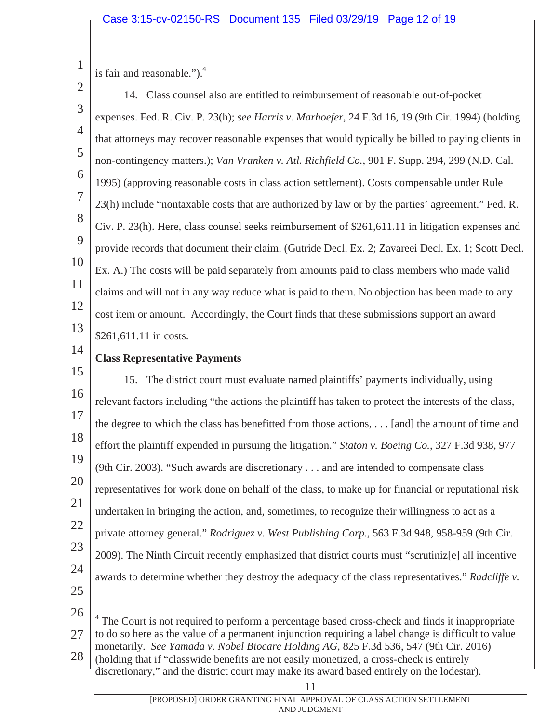1 is fair and reasonable." $)$ .<sup>4</sup>

2 3 4 5 6 7 8 9 10 11 12 13 14. Class counsel also are entitled to reimbursement of reasonable out-of-pocket expenses. Fed. R. Civ. P. 23(h); *see Harris v. Marhoefer*, 24 F.3d 16, 19 (9th Cir. 1994) (holding that attorneys may recover reasonable expenses that would typically be billed to paying clients in non-contingency matters.); *Van Vranken v. Atl. Richfield Co.*, 901 F. Supp. 294, 299 (N.D. Cal. 1995) (approving reasonable costs in class action settlement). Costs compensable under Rule 23(h) include "nontaxable costs that are authorized by law or by the parties' agreement." Fed. R. Civ. P. 23(h). Here, class counsel seeks reimbursement of \$261,611.11 in litigation expenses and provide records that document their claim. (Gutride Decl. Ex. 2; Zavareei Decl. Ex. 1; Scott Decl. Ex. A.) The costs will be paid separately from amounts paid to class members who made valid claims and will not in any way reduce what is paid to them. No objection has been made to any cost item or amount. Accordingly, the Court finds that these submissions support an award \$261,611.11 in costs.

14

## **Class Representative Payments**

15 16 17 18 19 20 21 22 23 24 25 15. The district court must evaluate named plaintiffs' payments individually, using relevant factors including "the actions the plaintiff has taken to protect the interests of the class, the degree to which the class has benefitted from those actions, . . . [and] the amount of time and effort the plaintiff expended in pursuing the litigation." *Staton v. Boeing Co.*, 327 F.3d 938, 977 (9th Cir. 2003). "Such awards are discretionary . . . and are intended to compensate class representatives for work done on behalf of the class, to make up for financial or reputational risk undertaken in bringing the action, and, sometimes, to recognize their willingness to act as a private attorney general." *Rodriguez v. West Publishing Corp.*, 563 F.3d 948, 958-959 (9th Cir. 2009). The Ninth Circuit recently emphasized that district courts must "scrutiniz[e] all incentive awards to determine whether they destroy the adequacy of the class representatives." *Radcliffe v.* 

26

 $\overline{a}$ 

27 <sup>4</sup> The Court is not required to perform a percentage based cross-check and finds it inappropriate to do so here as the value of a permanent injunction requiring a label change is difficult to value monetarily. *See Yamada v. Nobel Biocare Holding AG*, 825 F.3d 536, 547 (9th Cir. 2016)

28 (holding that if "classwide benefits are not easily monetized, a cross-check is entirely discretionary," and the district court may make its award based entirely on the lodestar).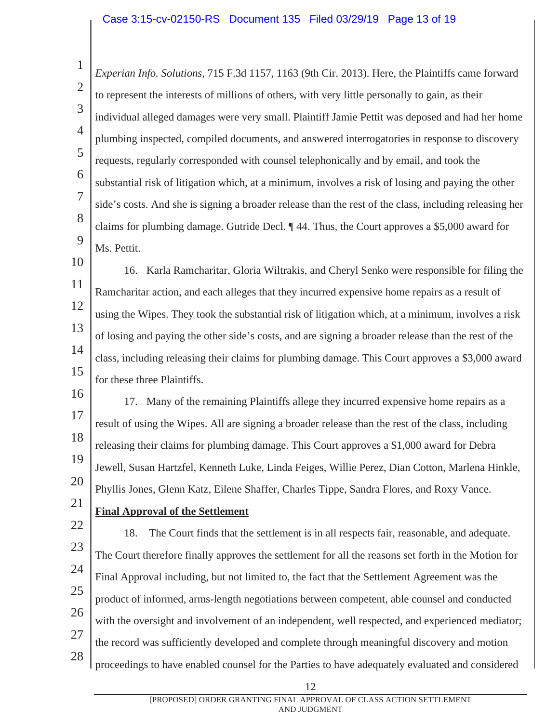1 2 3 4 5 6 7 8 9 *Experian Info. Solutions*, 715 F.3d 1157, 1163 (9th Cir. 2013). Here, the Plaintiffs came forward to represent the interests of millions of others, with very little personally to gain, as their individual alleged damages were very small. Plaintiff Jamie Pettit was deposed and had her home plumbing inspected, compiled documents, and answered interrogatories in response to discovery requests, regularly corresponded with counsel telephonically and by email, and took the substantial risk of litigation which, at a minimum, involves a risk of losing and paying the other side's costs. And she is signing a broader release than the rest of the class, including releasing her claims for plumbing damage. Gutride Decl. ¶ 44. Thus, the Court approves a \$5,000 award for Ms. Pettit.

10 11 12 13 14 15 16. Karla Ramcharitar, Gloria Wiltrakis, and Cheryl Senko were responsible for filing the Ramcharitar action, and each alleges that they incurred expensive home repairs as a result of using the Wipes. They took the substantial risk of litigation which, at a minimum, involves a risk of losing and paying the other side's costs, and are signing a broader release than the rest of the class, including releasing their claims for plumbing damage. This Court approves a \$3,000 award for these three Plaintiffs.

16 17 18 19 20 17. Many of the remaining Plaintiffs allege they incurred expensive home repairs as a result of using the Wipes. All are signing a broader release than the rest of the class, including releasing their claims for plumbing damage. This Court approves a \$1,000 award for Debra Jewell, Susan Hartzfel, Kenneth Luke, Linda Feiges, Willie Perez, Dian Cotton, Marlena Hinkle, Phyllis Jones, Glenn Katz, Eilene Shaffer, Charles Tippe, Sandra Flores, and Roxy Vance.

21

### **Final Approval of the Settlement**

22 23 24 25 26 27 28 18. The Court finds that the settlement is in all respects fair, reasonable, and adequate. The Court therefore finally approves the settlement for all the reasons set forth in the Motion for Final Approval including, but not limited to, the fact that the Settlement Agreement was the product of informed, arms-length negotiations between competent, able counsel and conducted with the oversight and involvement of an independent, well respected, and experienced mediator; the record was sufficiently developed and complete through meaningful discovery and motion proceedings to have enabled counsel for the Parties to have adequately evaluated and considered

<sup>12</sup>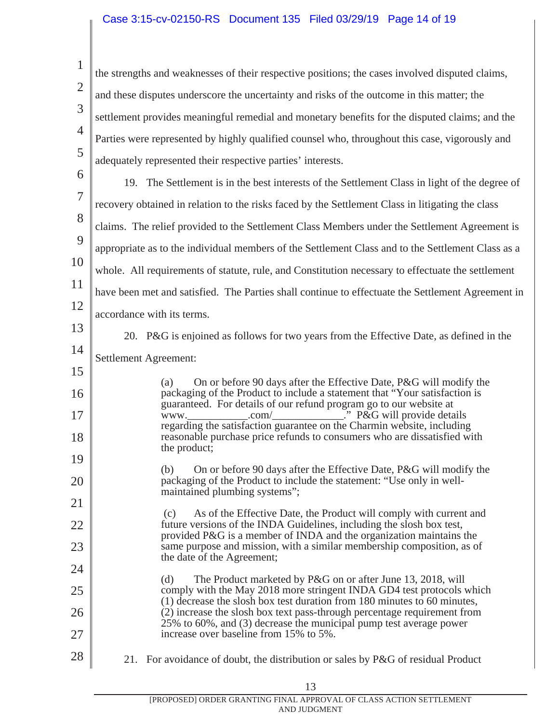1 2 3 4 5 6 the strengths and weaknesses of their respective positions; the cases involved disputed claims, and these disputes underscore the uncertainty and risks of the outcome in this matter; the settlement provides meaningful remedial and monetary benefits for the disputed claims; and the Parties were represented by highly qualified counsel who, throughout this case, vigorously and adequately represented their respective parties' interests.

7 8 9 10 11 12 19. The Settlement is in the best interests of the Settlement Class in light of the degree of recovery obtained in relation to the risks faced by the Settlement Class in litigating the class claims. The relief provided to the Settlement Class Members under the Settlement Agreement is appropriate as to the individual members of the Settlement Class and to the Settlement Class as a whole. All requirements of statute, rule, and Constitution necessary to effectuate the settlement have been met and satisfied. The Parties shall continue to effectuate the Settlement Agreement in accordance with its terms.

13

14

15

16

17

18

19

20

21

22

23

24

25

26

27

20. P&G is enjoined as follows for two years from the Effective Date, as defined in the Settlement Agreement:

(a) On or before 90 days after the Effective Date, P&G will modify the packaging of the Product to include a statement that "Your satisfaction is guaranteed. For details of our refund program go to our website at www.\_\_\_\_\_\_\_\_\_\_\_\_\_\_.com/\_\_\_\_\_\_\_\_\_\_\_\_\_\_." P&G will provide details regarding the satisfaction guarantee on the Charmin website, including reasonable purchase price refunds to consumers who are dissatisfied with the product;

(b) On or before 90 days after the Effective Date, P&G will modify the packaging of the Product to include the statement: "Use only in wellmaintained plumbing systems";

(c) As of the Effective Date, the Product will comply with current and future versions of the INDA Guidelines, including the slosh box test, provided P&G is a member of INDA and the organization maintains the same purpose and mission, with a similar membership composition, as of the date of the Agreement;

(d) The Product marketed by P&G on or after June 13, 2018, will comply with the May 2018 more stringent INDA GD4 test protocols which (1) decrease the slosh box test duration from 180 minutes to 60 minutes, (2) increase the slosh box text pass-through percentage requirement from 25% to 60%, and (3) decrease the municipal pump test average power increase over baseline from 15% to 5%.

28

21. For avoidance of doubt, the distribution or sales by P&G of residual Product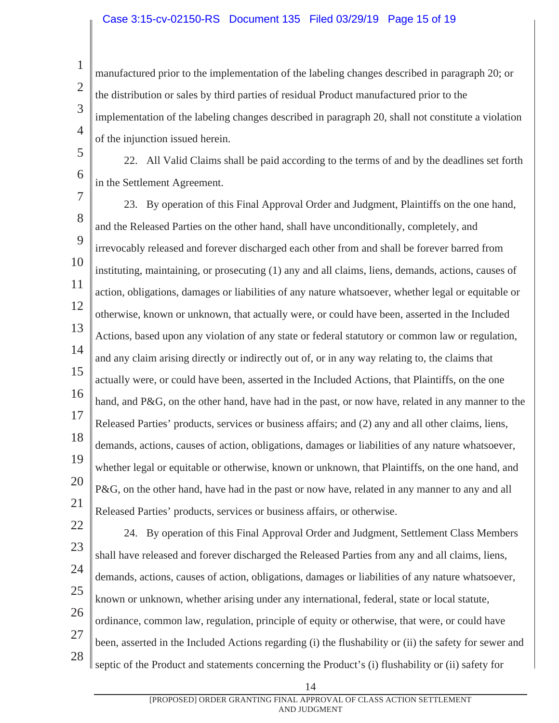manufactured prior to the implementation of the labeling changes described in paragraph 20; or the distribution or sales by third parties of residual Product manufactured prior to the implementation of the labeling changes described in paragraph 20, shall not constitute a violation of the injunction issued herein.

5 6

1

2

3

4

22. All Valid Claims shall be paid according to the terms of and by the deadlines set forth in the Settlement Agreement.

7 8 9 10 11 12 13 14 15 16 17 18 19 20 21 23. By operation of this Final Approval Order and Judgment, Plaintiffs on the one hand, and the Released Parties on the other hand, shall have unconditionally, completely, and irrevocably released and forever discharged each other from and shall be forever barred from instituting, maintaining, or prosecuting (1) any and all claims, liens, demands, actions, causes of action, obligations, damages or liabilities of any nature whatsoever, whether legal or equitable or otherwise, known or unknown, that actually were, or could have been, asserted in the Included Actions, based upon any violation of any state or federal statutory or common law or regulation, and any claim arising directly or indirectly out of, or in any way relating to, the claims that actually were, or could have been, asserted in the Included Actions, that Plaintiffs, on the one hand, and P&G, on the other hand, have had in the past, or now have, related in any manner to the Released Parties' products, services or business affairs; and (2) any and all other claims, liens, demands, actions, causes of action, obligations, damages or liabilities of any nature whatsoever, whether legal or equitable or otherwise, known or unknown, that Plaintiffs, on the one hand, and P&G, on the other hand, have had in the past or now have, related in any manner to any and all Released Parties' products, services or business affairs, or otherwise.

22 23 24 25 26 27 28 24. By operation of this Final Approval Order and Judgment, Settlement Class Members shall have released and forever discharged the Released Parties from any and all claims, liens, demands, actions, causes of action, obligations, damages or liabilities of any nature whatsoever, known or unknown, whether arising under any international, federal, state or local statute, ordinance, common law, regulation, principle of equity or otherwise, that were, or could have been, asserted in the Included Actions regarding (i) the flushability or (ii) the safety for sewer and septic of the Product and statements concerning the Product's (i) flushability or (ii) safety for

<sup>14</sup>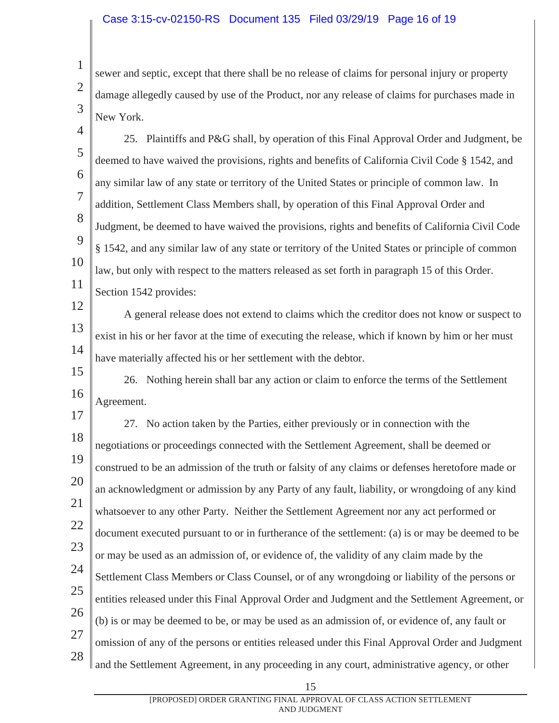1

2

3

sewer and septic, except that there shall be no release of claims for personal injury or property damage allegedly caused by use of the Product, nor any release of claims for purchases made in New York.

4 5 6 7 8 9 10 11 25. Plaintiffs and P&G shall, by operation of this Final Approval Order and Judgment, be deemed to have waived the provisions, rights and benefits of California Civil Code § 1542, and any similar law of any state or territory of the United States or principle of common law. In addition, Settlement Class Members shall, by operation of this Final Approval Order and Judgment, be deemed to have waived the provisions, rights and benefits of California Civil Code § 1542, and any similar law of any state or territory of the United States or principle of common law, but only with respect to the matters released as set forth in paragraph 15 of this Order. Section 1542 provides:

12 13 14 A general release does not extend to claims which the creditor does not know or suspect to exist in his or her favor at the time of executing the release, which if known by him or her must have materially affected his or her settlement with the debtor.

15 16 26. Nothing herein shall bar any action or claim to enforce the terms of the Settlement Agreement.

17 18 19 20 21 22 23 24 25 26 27 28 27. No action taken by the Parties, either previously or in connection with the negotiations or proceedings connected with the Settlement Agreement, shall be deemed or construed to be an admission of the truth or falsity of any claims or defenses heretofore made or an acknowledgment or admission by any Party of any fault, liability, or wrongdoing of any kind whatsoever to any other Party. Neither the Settlement Agreement nor any act performed or document executed pursuant to or in furtherance of the settlement: (a) is or may be deemed to be or may be used as an admission of, or evidence of, the validity of any claim made by the Settlement Class Members or Class Counsel, or of any wrongdoing or liability of the persons or entities released under this Final Approval Order and Judgment and the Settlement Agreement, or (b) is or may be deemed to be, or may be used as an admission of, or evidence of, any fault or omission of any of the persons or entities released under this Final Approval Order and Judgment and the Settlement Agreement, in any proceeding in any court, administrative agency, or other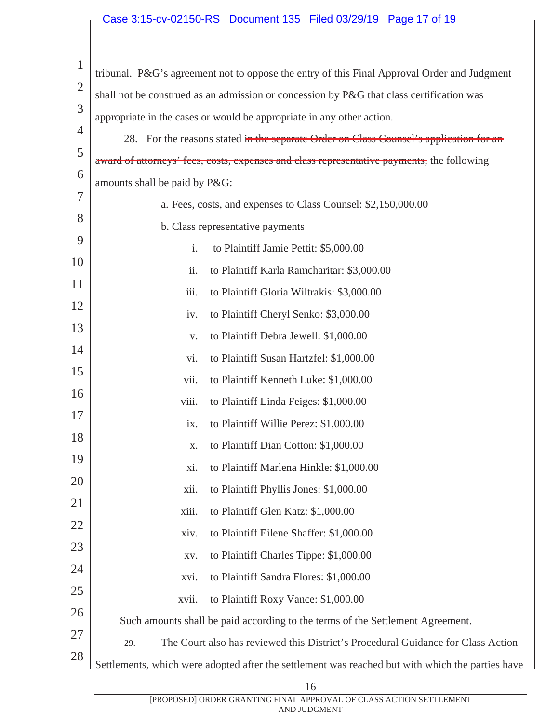#### Case 3:15-cv-02150-RS Document 135 Filed 03/29/19 Page 17 of 19

| $\mathbf 1$    | tribunal. P&G's agreement not to oppose the entry of this Final Approval Order and Judgment |                                                                                                  |  |  |
|----------------|---------------------------------------------------------------------------------------------|--------------------------------------------------------------------------------------------------|--|--|
| $\overline{2}$ | shall not be construed as an admission or concession by P&G that class certification was    |                                                                                                  |  |  |
| 3              | appropriate in the cases or would be appropriate in any other action.                       |                                                                                                  |  |  |
| 4              |                                                                                             | 28. For the reasons stated in the separate Order on Class Counsel's application for an           |  |  |
| 5              |                                                                                             | award of attorneys' fees, costs, expenses and class representative payments, the following       |  |  |
| 6              | amounts shall be paid by P&G:                                                               |                                                                                                  |  |  |
| 7              | a. Fees, costs, and expenses to Class Counsel: \$2,150,000.00                               |                                                                                                  |  |  |
| 8              | b. Class representative payments                                                            |                                                                                                  |  |  |
| 9              | i.                                                                                          | to Plaintiff Jamie Pettit: \$5,000.00                                                            |  |  |
| 10             | ii.                                                                                         | to Plaintiff Karla Ramcharitar: \$3,000.00                                                       |  |  |
| 11             | iii.                                                                                        | to Plaintiff Gloria Wiltrakis: \$3,000.00                                                        |  |  |
| 12             | iv.                                                                                         | to Plaintiff Cheryl Senko: \$3,000.00                                                            |  |  |
| 13             | V.                                                                                          | to Plaintiff Debra Jewell: \$1,000.00                                                            |  |  |
| 14             | vi.                                                                                         | to Plaintiff Susan Hartzfel: \$1,000.00                                                          |  |  |
| 15             | vii.                                                                                        | to Plaintiff Kenneth Luke: \$1,000.00                                                            |  |  |
| 16             | viii.                                                                                       | to Plaintiff Linda Feiges: \$1,000.00                                                            |  |  |
| 17             | ix.                                                                                         | to Plaintiff Willie Perez: \$1,000.00                                                            |  |  |
| 18             | X.                                                                                          | to Plaintiff Dian Cotton: \$1,000.00                                                             |  |  |
| 19             | X1.                                                                                         | to Plaintiff Marlena Hinkle: \$1,000.00                                                          |  |  |
| 20             | xii.                                                                                        | to Plaintiff Phyllis Jones: \$1,000.00                                                           |  |  |
| 21             | xiii.                                                                                       | to Plaintiff Glen Katz: \$1,000.00                                                               |  |  |
| 22             | xiv.                                                                                        | to Plaintiff Eilene Shaffer: \$1,000.00                                                          |  |  |
| 23             | XV.                                                                                         | to Plaintiff Charles Tippe: \$1,000.00                                                           |  |  |
| 24             | xvi.                                                                                        | to Plaintiff Sandra Flores: \$1,000.00                                                           |  |  |
| 25             | xvii.                                                                                       | to Plaintiff Roxy Vance: \$1,000.00                                                              |  |  |
| 26             |                                                                                             | Such amounts shall be paid according to the terms of the Settlement Agreement.                   |  |  |
| 27             | 29.                                                                                         | The Court also has reviewed this District's Procedural Guidance for Class Action                 |  |  |
| 28             |                                                                                             | Settlements, which were adopted after the settlement was reached but with which the parties have |  |  |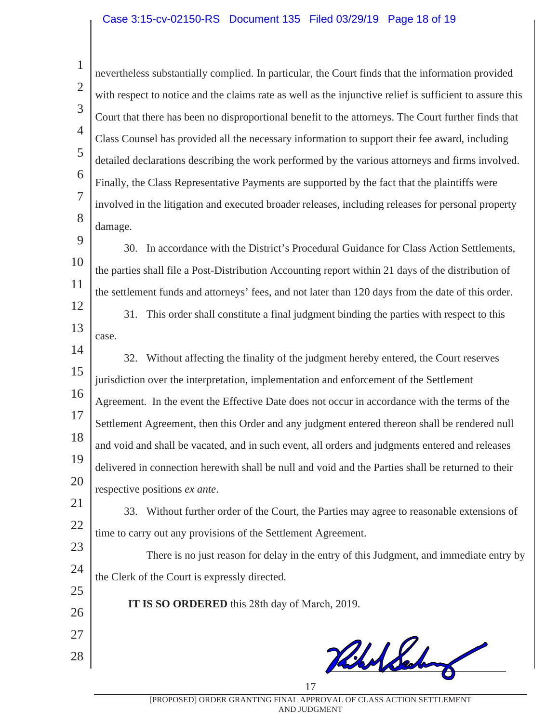#### Case 3:15-cv-02150-RS Document 135 Filed 03/29/19 Page 18 of 19

| $\mathbf{1}$   | nevertheless substantially complied. In particular, the Court finds that the information provided        |
|----------------|----------------------------------------------------------------------------------------------------------|
| $\overline{2}$ | with respect to notice and the claims rate as well as the injunctive relief is sufficient to assure this |
| 3              | Court that there has been no disproportional benefit to the attorneys. The Court further finds that      |
| $\overline{4}$ | Class Counsel has provided all the necessary information to support their fee award, including           |
| 5              | detailed declarations describing the work performed by the various attorneys and firms involved.         |
| 6              | Finally, the Class Representative Payments are supported by the fact that the plaintiffs were            |
| $\overline{7}$ | involved in the litigation and executed broader releases, including releases for personal property       |
| 8              | damage.                                                                                                  |
| 9              | 30. In accordance with the District's Procedural Guidance for Class Action Settlements,                  |
| 10             | the parties shall file a Post-Distribution Accounting report within 21 days of the distribution of       |
| 11             | the settlement funds and attorneys' fees, and not later than 120 days from the date of this order.       |
| 12             | 31. This order shall constitute a final judgment binding the parties with respect to this                |
| 13             | case.                                                                                                    |
| 14             | 32. Without affecting the finality of the judgment hereby entered, the Court reserves                    |
| 15             | jurisdiction over the interpretation, implementation and enforcement of the Settlement                   |
| 16             | Agreement. In the event the Effective Date does not occur in accordance with the terms of the            |
| 17             | Settlement Agreement, then this Order and any judgment entered thereon shall be rendered null            |
| 18             | and void and shall be vacated, and in such event, all orders and judgments entered and releases          |
| 19             | delivered in connection herewith shall be null and void and the Parties shall be returned to their       |
| 20             | respective positions ex ante.                                                                            |
| 21             | 33. Without further order of the Court, the Parties may agree to reasonable extensions of                |
| 22             | time to carry out any provisions of the Settlement Agreement.                                            |
| 23             | There is no just reason for delay in the entry of this Judgment, and immediate entry by                  |
| 24             | the Clerk of the Court is expressly directed.                                                            |
| 25             | IT IS SO ORDERED this 28th day of March, 2019.                                                           |
| 26             |                                                                                                          |

28

 $\frac{1}{2}$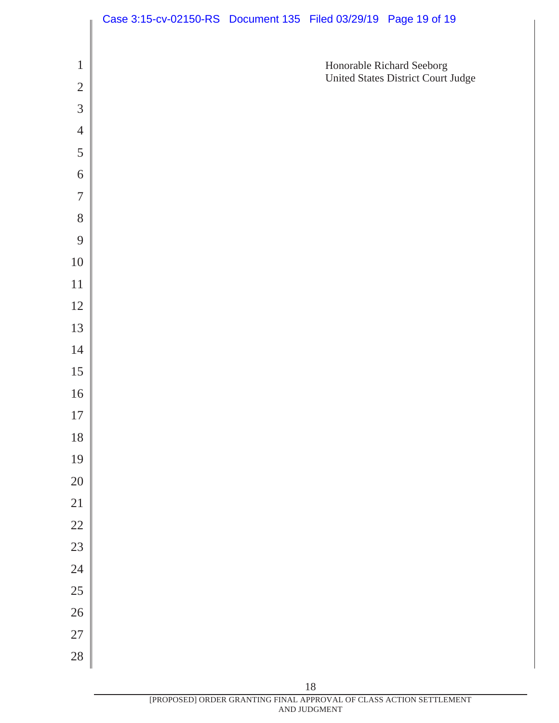|                | Case 3:15-cv-02150-RS Document 135 Filed 03/29/19 Page 19 of 19 |  |                                                                 |
|----------------|-----------------------------------------------------------------|--|-----------------------------------------------------------------|
|                |                                                                 |  |                                                                 |
| $\mathbf{1}$   |                                                                 |  | Honorable Richard Seeborg<br>United States District Court Judge |
| $\overline{2}$ |                                                                 |  |                                                                 |
| 3              |                                                                 |  |                                                                 |
| $\overline{4}$ |                                                                 |  |                                                                 |
| 5              |                                                                 |  |                                                                 |
| 6              |                                                                 |  |                                                                 |
| $\overline{7}$ |                                                                 |  |                                                                 |
| 8              |                                                                 |  |                                                                 |
| 9              |                                                                 |  |                                                                 |
| 10             |                                                                 |  |                                                                 |
| 11             |                                                                 |  |                                                                 |
| 12             |                                                                 |  |                                                                 |
| 13             |                                                                 |  |                                                                 |
| 14             |                                                                 |  |                                                                 |
| 15             |                                                                 |  |                                                                 |
| 16             |                                                                 |  |                                                                 |
| 17             |                                                                 |  |                                                                 |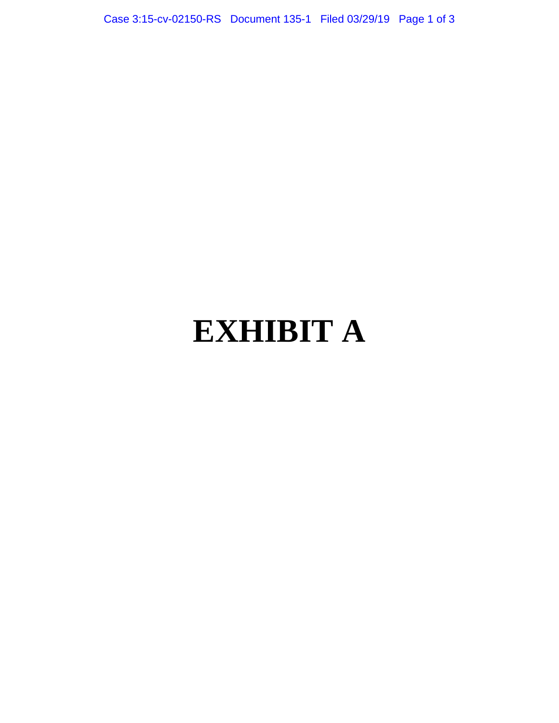Case 3:15-cv-02150-RS Document 135-1 Filed 03/29/19 Page 1 of 3

# **EXHIBIT A**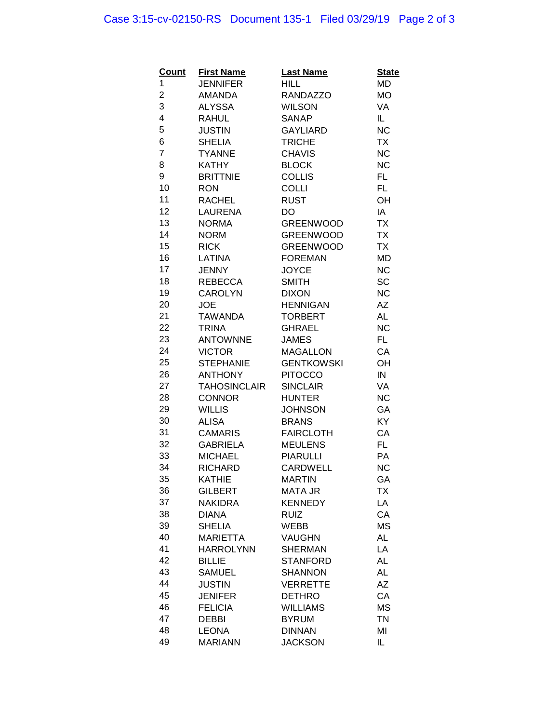# Case 3:15-cv-02150-RS Document 135-1 Filed 03/29/19 Page 2 of 3

| <b>Count</b>   | <b>First Name</b>   | <b>Last Name</b>  | <b>State</b> |
|----------------|---------------------|-------------------|--------------|
| 1              | <b>JENNIFER</b>     | <b>HILL</b>       | MD           |
| $\overline{c}$ | AMANDA              | <b>RANDAZZO</b>   | <b>MO</b>    |
| 3              | <b>ALYSSA</b>       | <b>WILSON</b>     | VA           |
| 4              | RAHUL               | SANAP             | IL.          |
| 5              | <b>JUSTIN</b>       | <b>GAYLIARD</b>   | <b>NC</b>    |
| 6              | <b>SHELIA</b>       | <b>TRICHE</b>     | <b>TX</b>    |
| $\overline{7}$ | <b>TYANNE</b>       | <b>CHAVIS</b>     | NC           |
| 8              | <b>KATHY</b>        | <b>BLOCK</b>      | <b>NC</b>    |
| 9              | <b>BRITTNIE</b>     | <b>COLLIS</b>     | FL.          |
| 10             | <b>RON</b>          | <b>COLLI</b>      | FL.          |
| 11             | <b>RACHEL</b>       | <b>RUST</b>       | OH           |
| 12             | <b>LAURENA</b>      | <b>DO</b>         | IA           |
| 13             | <b>NORMA</b>        | <b>GREENWOOD</b>  | <b>TX</b>    |
| 14             | <b>NORM</b>         | <b>GREENWOOD</b>  | <b>TX</b>    |
| 15             | <b>RICK</b>         | <b>GREENWOOD</b>  | <b>TX</b>    |
| 16             | LATINA              | <b>FOREMAN</b>    | MD           |
| 17             | JENNY               | <b>JOYCE</b>      | <b>NC</b>    |
| 18             | <b>REBECCA</b>      | <b>SMITH</b>      | SC           |
| 19             | <b>CAROLYN</b>      | <b>DIXON</b>      | <b>NC</b>    |
| 20             | <b>JOE</b>          | <b>HENNIGAN</b>   | ΑZ           |
| 21             | <b>TAWANDA</b>      | <b>TORBERT</b>    | <b>AL</b>    |
| 22             | <b>TRINA</b>        | GHRAEL            | <b>NC</b>    |
| 23             | <b>ANTOWNNE</b>     | <b>JAMES</b>      | FL.          |
| 24             | <b>VICTOR</b>       | <b>MAGALLON</b>   | CA           |
| 25             | <b>STEPHANIE</b>    | <b>GENTKOWSKI</b> | OH           |
| 26             | <b>ANTHONY</b>      | <b>PITOCCO</b>    | ${\sf IN}$   |
| 27             | <b>TAHOSINCLAIR</b> | <b>SINCLAIR</b>   | VA           |
| 28             | <b>CONNOR</b>       | <b>HUNTER</b>     | <b>NC</b>    |
| 29             | <b>WILLIS</b>       | <b>JOHNSON</b>    | GA           |
| 30             | <b>ALISA</b>        | <b>BRANS</b>      | <b>KY</b>    |
| 31             | <b>CAMARIS</b>      | <b>FAIRCLOTH</b>  | CA           |
| 32             | <b>GABRIELA</b>     | <b>MEULENS</b>    | FL.          |
| 33             | <b>MICHAEL</b>      | <b>PIARULLI</b>   | PA           |
| 34             | <b>RICHARD</b>      | <b>CARDWELL</b>   | <b>NC</b>    |
| 35             | <b>KATHIE</b>       | <b>MARTIN</b>     | GA           |
| 36             | <b>GILBERT</b>      | <b>MATA JR</b>    | <b>TX</b>    |
| 37             | <b>NAKIDRA</b>      | <b>KENNEDY</b>    | LA           |
| 38             | <b>DIANA</b>        | <b>RUIZ</b>       | CA           |
| 39             | <b>SHELIA</b>       | <b>WEBB</b>       | MS           |
| 40             | <b>MARIETTA</b>     | <b>VAUGHN</b>     | AL           |
| 41             | <b>HARROLYNN</b>    | <b>SHERMAN</b>    | LA           |
| 42             | <b>BILLIE</b>       | <b>STANFORD</b>   | <b>AL</b>    |
| 43             | <b>SAMUEL</b>       | <b>SHANNON</b>    | <b>AL</b>    |
| 44             | <b>JUSTIN</b>       | <b>VERRETTE</b>   | AZ           |
| 45             | <b>JENIFER</b>      | <b>DETHRO</b>     | CA           |
| 46             | <b>FELICIA</b>      | <b>WILLIAMS</b>   | MS           |
| 47             | <b>DEBBI</b>        | <b>BYRUM</b>      | <b>TN</b>    |
| 48             | <b>LEONA</b>        | <b>DINNAN</b>     | MI           |
| 49             | <b>MARIANN</b>      | <b>JACKSON</b>    | IL.          |